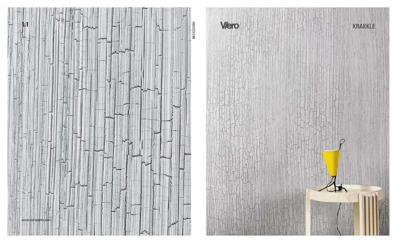